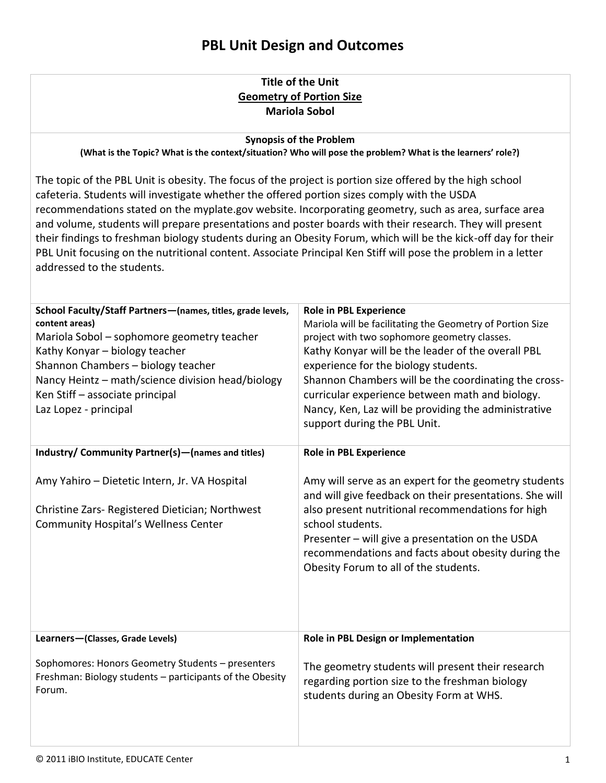#### **Title of the Unit Geometry of Portion Size Mariola Sobol**

#### **Synopsis of the Problem**

**(What is the Topic? What is the context/situation? Who will pose the problem? What is the learners' role?)**

The topic of the PBL Unit is obesity. The focus of the project is portion size offered by the high school cafeteria. Students will investigate whether the offered portion sizes comply with the USDA recommendations stated on the myplate.gov website. Incorporating geometry, such as area, surface area and volume, students will prepare presentations and poster boards with their research. They will present their findings to freshman biology students during an Obesity Forum, which will be the kick-off day for their PBL Unit focusing on the nutritional content. Associate Principal Ken Stiff will pose the problem in a letter addressed to the students.

| School Faculty/Staff Partners-(names, titles, grade levels,<br>content areas)<br>Mariola Sobol - sophomore geometry teacher<br>Kathy Konyar - biology teacher<br>Shannon Chambers - biology teacher<br>Nancy Heintz - math/science division head/biology<br>Ken Stiff - associate principal<br>Laz Lopez - principal | <b>Role in PBL Experience</b><br>Mariola will be facilitating the Geometry of Portion Size<br>project with two sophomore geometry classes.<br>Kathy Konyar will be the leader of the overall PBL<br>experience for the biology students.<br>Shannon Chambers will be the coordinating the cross-<br>curricular experience between math and biology.<br>Nancy, Ken, Laz will be providing the administrative<br>support during the PBL Unit. |  |  |
|----------------------------------------------------------------------------------------------------------------------------------------------------------------------------------------------------------------------------------------------------------------------------------------------------------------------|---------------------------------------------------------------------------------------------------------------------------------------------------------------------------------------------------------------------------------------------------------------------------------------------------------------------------------------------------------------------------------------------------------------------------------------------|--|--|
| Industry/ Community Partner(s) - (names and titles)                                                                                                                                                                                                                                                                  | <b>Role in PBL Experience</b>                                                                                                                                                                                                                                                                                                                                                                                                               |  |  |
| Amy Yahiro - Dietetic Intern, Jr. VA Hospital<br>Christine Zars- Registered Dietician; Northwest<br><b>Community Hospital's Wellness Center</b>                                                                                                                                                                      | Amy will serve as an expert for the geometry students<br>and will give feedback on their presentations. She will<br>also present nutritional recommendations for high<br>school students.<br>Presenter - will give a presentation on the USDA<br>recommendations and facts about obesity during the<br>Obesity Forum to all of the students.                                                                                                |  |  |
| Learners-(Classes, Grade Levels)                                                                                                                                                                                                                                                                                     | Role in PBL Design or Implementation                                                                                                                                                                                                                                                                                                                                                                                                        |  |  |
| Sophomores: Honors Geometry Students - presenters<br>Freshman: Biology students - participants of the Obesity<br>Forum.                                                                                                                                                                                              | The geometry students will present their research<br>regarding portion size to the freshman biology<br>students during an Obesity Form at WHS.                                                                                                                                                                                                                                                                                              |  |  |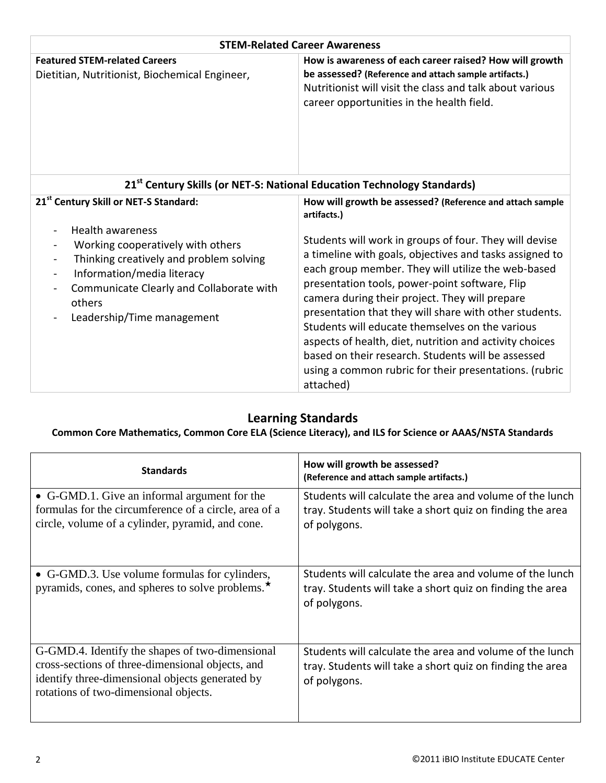| <b>STEM-Related Career Awareness</b>                                                                                                                                                                                                                                                                                                                   |                                                                                                                                                                                                                                                                                                                                                                                                                                                                                                                                                                                                                                                              |  |  |
|--------------------------------------------------------------------------------------------------------------------------------------------------------------------------------------------------------------------------------------------------------------------------------------------------------------------------------------------------------|--------------------------------------------------------------------------------------------------------------------------------------------------------------------------------------------------------------------------------------------------------------------------------------------------------------------------------------------------------------------------------------------------------------------------------------------------------------------------------------------------------------------------------------------------------------------------------------------------------------------------------------------------------------|--|--|
| <b>Featured STEM-related Careers</b><br>Dietitian, Nutritionist, Biochemical Engineer,                                                                                                                                                                                                                                                                 | How is awareness of each career raised? How will growth<br>be assessed? (Reference and attach sample artifacts.)<br>Nutritionist will visit the class and talk about various<br>career opportunities in the health field.                                                                                                                                                                                                                                                                                                                                                                                                                                    |  |  |
| 21 <sup>st</sup> Century Skills (or NET-S: National Education Technology Standards)                                                                                                                                                                                                                                                                    |                                                                                                                                                                                                                                                                                                                                                                                                                                                                                                                                                                                                                                                              |  |  |
| 21 <sup>st</sup> Century Skill or NET-S Standard:<br><b>Health awareness</b><br>$\blacksquare$<br>Working cooperatively with others<br>$\blacksquare$<br>Thinking creatively and problem solving<br>$\blacksquare$<br>Information/media literacy<br>$\blacksquare$<br>Communicate Clearly and Collaborate with<br>others<br>Leadership/Time management | How will growth be assessed? (Reference and attach sample<br>artifacts.)<br>Students will work in groups of four. They will devise<br>a timeline with goals, objectives and tasks assigned to<br>each group member. They will utilize the web-based<br>presentation tools, power-point software, Flip<br>camera during their project. They will prepare<br>presentation that they will share with other students.<br>Students will educate themselves on the various<br>aspects of health, diet, nutrition and activity choices<br>based on their research. Students will be assessed<br>using a common rubric for their presentations. (rubric<br>attached) |  |  |

## **Learning Standards**

#### **Common Core Mathematics, Common Core ELA (Science Literacy), and ILS for Science or AAAS/NSTA Standards**

| <b>Standards</b>                                                                                                                                                                                | How will growth be assessed?<br>(Reference and attach sample artifacts.)                                                              |
|-------------------------------------------------------------------------------------------------------------------------------------------------------------------------------------------------|---------------------------------------------------------------------------------------------------------------------------------------|
| • G-GMD.1. Give an informal argument for the<br>formulas for the circumference of a circle, area of a<br>circle, volume of a cylinder, pyramid, and cone.                                       | Students will calculate the area and volume of the lunch<br>tray. Students will take a short quiz on finding the area<br>of polygons. |
| • G-GMD.3. Use volume formulas for cylinders,<br>pyramids, cones, and spheres to solve problems. <sup>*</sup>                                                                                   | Students will calculate the area and volume of the lunch<br>tray. Students will take a short quiz on finding the area<br>of polygons. |
| G-GMD.4. Identify the shapes of two-dimensional<br>cross-sections of three-dimensional objects, and<br>identify three-dimensional objects generated by<br>rotations of two-dimensional objects. | Students will calculate the area and volume of the lunch<br>tray. Students will take a short quiz on finding the area<br>of polygons. |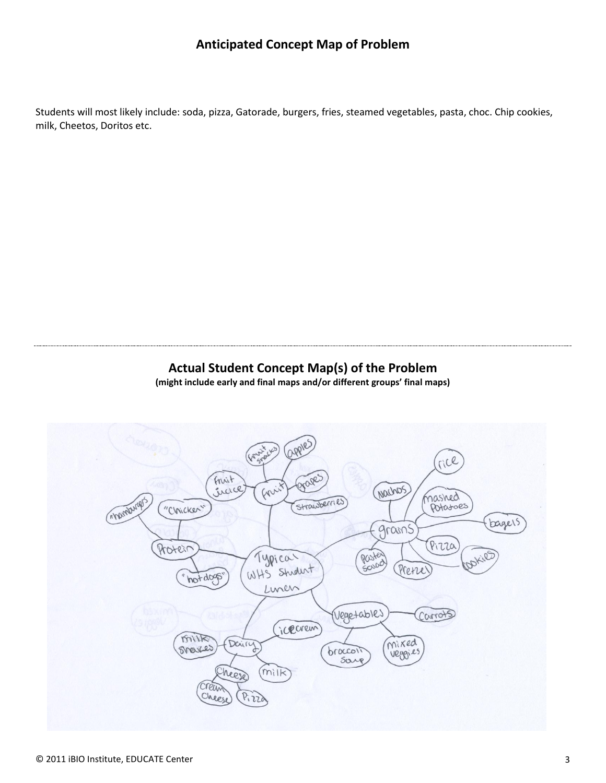### **Anticipated Concept Map of Problem**

Students will most likely include: soda, pizza, Gatorade, burgers, fries, steamed vegetables, pasta, choc. Chip cookies, milk, Cheetos, Doritos etc.

# **Actual Student Concept Map(s) of the Problem**

**(might include early and final maps and/or different groups' final maps)**

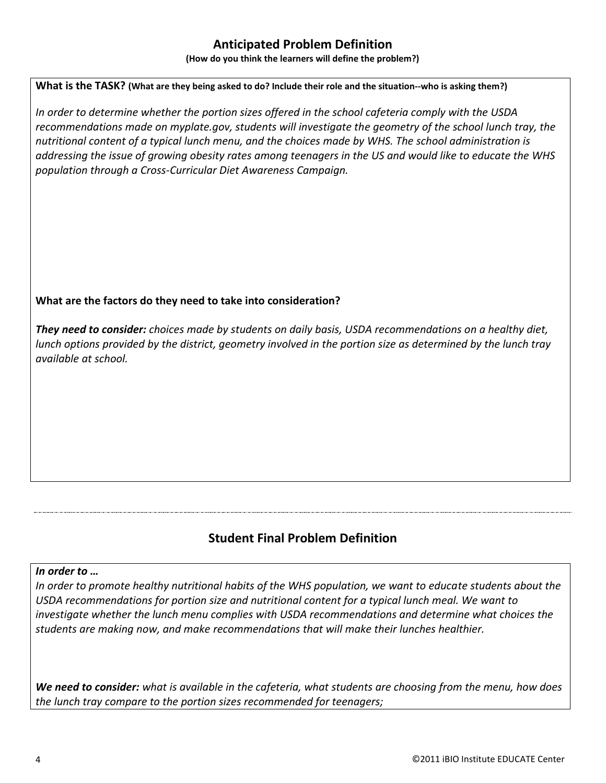## **Anticipated Problem Definition**

**(How do you think the learners will define the problem?)**

#### **What is the TASK? (What are they being asked to do? Include their role and the situation--who is asking them?)**

*In order to determine whether the portion sizes offered in the school cafeteria comply with the USDA recommendations made on myplate.gov, students will investigate the geometry of the school lunch tray, the nutritional content of a typical lunch menu, and the choices made by WHS. The school administration is addressing the issue of growing obesity rates among teenagers in the US and would like to educate the WHS population through a Cross-Curricular Diet Awareness Campaign.*

#### **What are the factors do they need to take into consideration?**

*They need to consider: choices made by students on daily basis, USDA recommendations on a healthy diet, lunch options provided by the district, geometry involved in the portion size as determined by the lunch tray available at school.* 

## **Student Final Problem Definition**

#### *In order to …*

*In order to promote healthy nutritional habits of the WHS population, we want to educate students about the USDA recommendations for portion size and nutritional content for a typical lunch meal. We want to investigate whether the lunch menu complies with USDA recommendations and determine what choices the students are making now, and make recommendations that will make their lunches healthier.* 

*We need to consider: what is available in the cafeteria, what students are choosing from the menu, how does the lunch tray compare to the portion sizes recommended for teenagers;*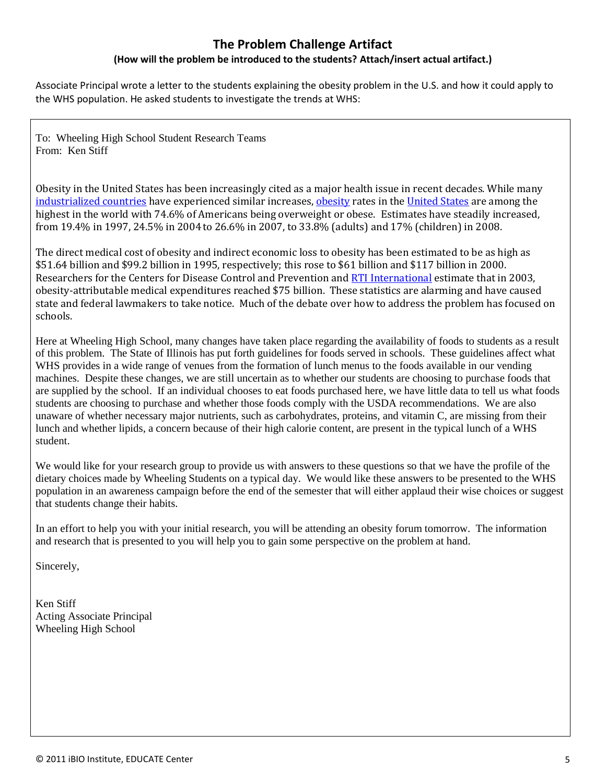# **The Problem Challenge Artifact**

#### **(How will the problem be introduced to the students? Attach/insert actual artifact.)**

Associate Principal wrote a letter to the students explaining the obesity problem in the U.S. and how it could apply to the WHS population. He asked students to investigate the trends at WHS:

To: Wheeling High School Student Research Teams From: Ken Stiff

Obesity in the United States has been increasingly cited as a major health issue in recent decades. While many [industrialized countries](http://en.wikipedia.org/wiki/Developed_country) have experienced similar increases, [obesity](http://en.wikipedia.org/wiki/Obesity) rates in the [United States](http://en.wikipedia.org/wiki/United_States) are among the highest in the world with 74.6% of Americans being overweight or obese. Estimates have steadily increased, from 19.4% in 1997, 24.5% in 2004to 26.6% in 2007, to 33.8% (adults) and 17% (children) in 2008.

The direct medical cost of obesity and indirect economic loss to obesity has been estimated to be as high as \$51.64 billion and \$99.2 billion in 1995, respectively; this rose to \$61 billion and \$117 billion in 2000. Researchers for the Centers for Disease Control and Prevention and [RTI International](http://en.wikipedia.org/wiki/RTI_International) estimate that in 2003, obesity-attributable medical expenditures reached \$75 billion. These statistics are alarming and have caused state and federal lawmakers to take notice. Much of the debate over how to address the problem has focused on schools.

Here at Wheeling High School, many changes have taken place regarding the availability of foods to students as a result of this problem. The State of Illinois has put forth guidelines for foods served in schools. These guidelines affect what WHS provides in a wide range of venues from the formation of lunch menus to the foods available in our vending machines. Despite these changes, we are still uncertain as to whether our students are choosing to purchase foods that are supplied by the school. If an individual chooses to eat foods purchased here, we have little data to tell us what foods students are choosing to purchase and whether those foods comply with the USDA recommendations. We are also unaware of whether necessary major nutrients, such as carbohydrates, proteins, and vitamin C, are missing from their lunch and whether lipids, a concern because of their high calorie content, are present in the typical lunch of a WHS student.

We would like for your research group to provide us with answers to these questions so that we have the profile of the dietary choices made by Wheeling Students on a typical day. We would like these answers to be presented to the WHS population in an awareness campaign before the end of the semester that will either applaud their wise choices or suggest that students change their habits.

In an effort to help you with your initial research, you will be attending an obesity forum tomorrow. The information and research that is presented to you will help you to gain some perspective on the problem at hand.

Sincerely,

Ken Stiff Acting Associate Principal Wheeling High School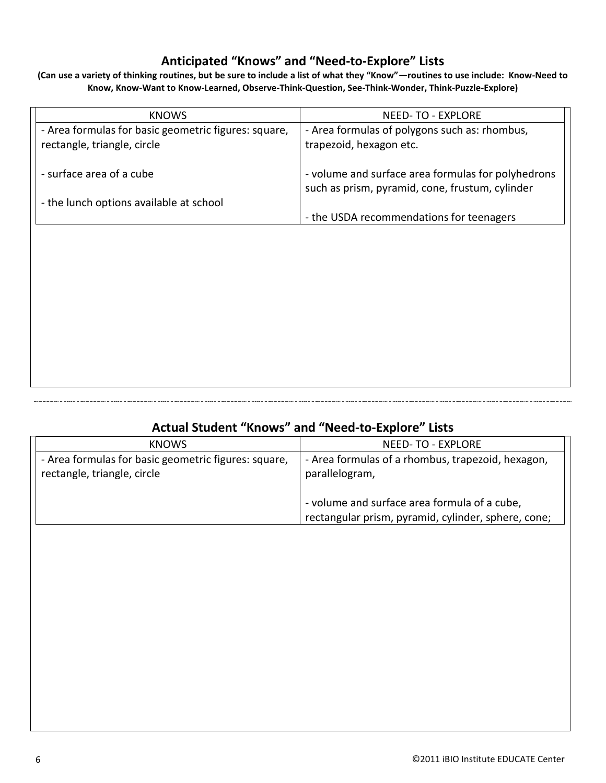# **Anticipated "Knows" and "Need-to-Explore" Lists**

**(Can use a variety of thinking routines, but be sure to include a list of what they "Know"—routines to use include: Know-Need to Know, Know-Want to Know-Learned, Observe-Think-Question, See-Think-Wonder, Think-Puzzle-Explore)**

| <b>KNOWS</b>                                                                        | <b>NEED-TO - EXPLORE</b>                                                                              |
|-------------------------------------------------------------------------------------|-------------------------------------------------------------------------------------------------------|
| - Area formulas for basic geometric figures: square,<br>rectangle, triangle, circle | - Area formulas of polygons such as: rhombus,<br>trapezoid, hexagon etc.                              |
| - surface area of a cube                                                            | - volume and surface area formulas for polyhedrons<br>such as prism, pyramid, cone, frustum, cylinder |
| - the lunch options available at school                                             | - the USDA recommendations for teenagers                                                              |

### **Actual Student "Knows" and "Need-to-Explore" Lists**

|                             | <b>KNOWS</b>                                         | <b>NEED-TO - EXPLORE</b>                            |  |
|-----------------------------|------------------------------------------------------|-----------------------------------------------------|--|
|                             | - Area formulas for basic geometric figures: square, | - Area formulas of a rhombus, trapezoid, hexagon,   |  |
| rectangle, triangle, circle |                                                      | parallelogram,                                      |  |
|                             |                                                      | - volume and surface area formula of a cube,        |  |
|                             |                                                      | rectangular prism, pyramid, cylinder, sphere, cone; |  |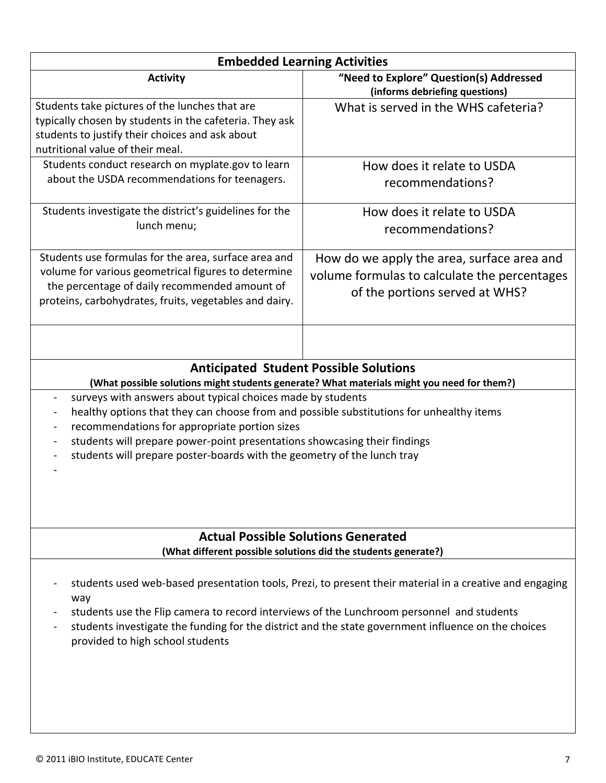| <b>Embedded Learning Activities</b>                                                                                                                                                                                                                                                                                                                                                                                                                            |                                                                                                                              |  |  |
|----------------------------------------------------------------------------------------------------------------------------------------------------------------------------------------------------------------------------------------------------------------------------------------------------------------------------------------------------------------------------------------------------------------------------------------------------------------|------------------------------------------------------------------------------------------------------------------------------|--|--|
| <b>Activity</b>                                                                                                                                                                                                                                                                                                                                                                                                                                                | "Need to Explore" Question(s) Addressed<br>(informs debriefing questions)                                                    |  |  |
| Students take pictures of the lunches that are<br>typically chosen by students in the cafeteria. They ask<br>students to justify their choices and ask about<br>nutritional value of their meal.                                                                                                                                                                                                                                                               | What is served in the WHS cafeteria?                                                                                         |  |  |
| Students conduct research on myplate.gov to learn<br>about the USDA recommendations for teenagers.                                                                                                                                                                                                                                                                                                                                                             | How does it relate to USDA<br>recommendations?                                                                               |  |  |
| Students investigate the district's guidelines for the<br>lunch menu;                                                                                                                                                                                                                                                                                                                                                                                          | How does it relate to USDA<br>recommendations?                                                                               |  |  |
| Students use formulas for the area, surface area and<br>volume for various geometrical figures to determine<br>the percentage of daily recommended amount of<br>proteins, carbohydrates, fruits, vegetables and dairy.                                                                                                                                                                                                                                         | How do we apply the area, surface area and<br>volume formulas to calculate the percentages<br>of the portions served at WHS? |  |  |
|                                                                                                                                                                                                                                                                                                                                                                                                                                                                |                                                                                                                              |  |  |
|                                                                                                                                                                                                                                                                                                                                                                                                                                                                | <b>Anticipated Student Possible Solutions</b>                                                                                |  |  |
| (What possible solutions might students generate? What materials might you need for them?)<br>surveys with answers about typical choices made by students<br>healthy options that they can choose from and possible substitutions for unhealthy items<br>recommendations for appropriate portion sizes<br>students will prepare power-point presentations showcasing their findings<br>students will prepare poster-boards with the geometry of the lunch tray |                                                                                                                              |  |  |
| <b>Actual Possible Solutions Generated</b><br>(What different possible solutions did the students generate?)                                                                                                                                                                                                                                                                                                                                                   |                                                                                                                              |  |  |
| students used web-based presentation tools, Prezi, to present their material in a creative and engaging<br>way<br>students use the Flip camera to record interviews of the Lunchroom personnel and students<br>students investigate the funding for the district and the state government influence on the choices<br>provided to high school students                                                                                                         |                                                                                                                              |  |  |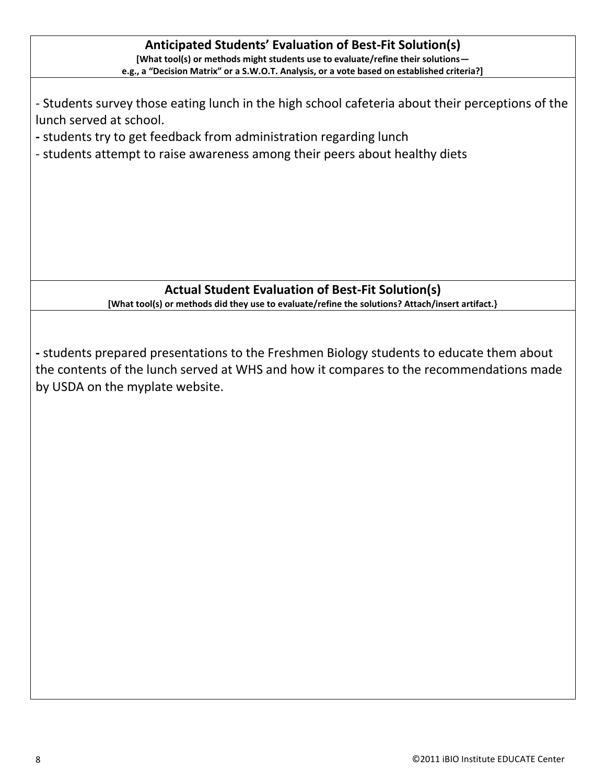| <b>Anticipated Students' Evaluation of Best-Fit Solution(s)</b><br>[What tool(s) or methods might students use to evaluate/refine their solutions-<br>e.g., a "Decision Matrix" or a S.W.O.T. Analysis, or a vote based on established criteria?]                                |  |  |  |
|----------------------------------------------------------------------------------------------------------------------------------------------------------------------------------------------------------------------------------------------------------------------------------|--|--|--|
| - Students survey those eating lunch in the high school cafeteria about their perceptions of the<br>lunch served at school.<br>- students try to get feedback from administration regarding lunch<br>- students attempt to raise awareness among their peers about healthy diets |  |  |  |
| <b>Actual Student Evaluation of Best-Fit Solution(s)</b>                                                                                                                                                                                                                         |  |  |  |
| [What tool(s) or methods did they use to evaluate/refine the solutions? Attach/insert artifact.}                                                                                                                                                                                 |  |  |  |
| - students prepared presentations to the Freshmen Biology students to educate them about<br>the contents of the lunch served at WHS and how it compares to the recommendations made<br>by USDA on the myplate website.                                                           |  |  |  |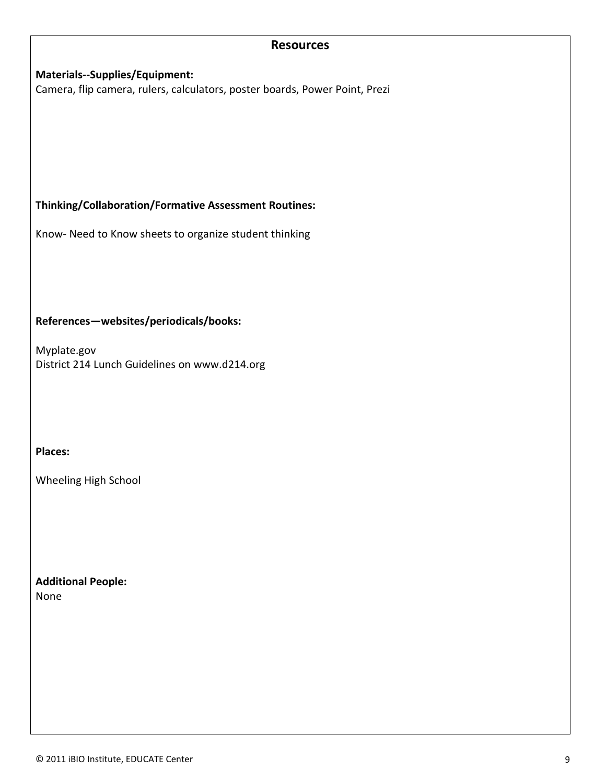#### **Resources**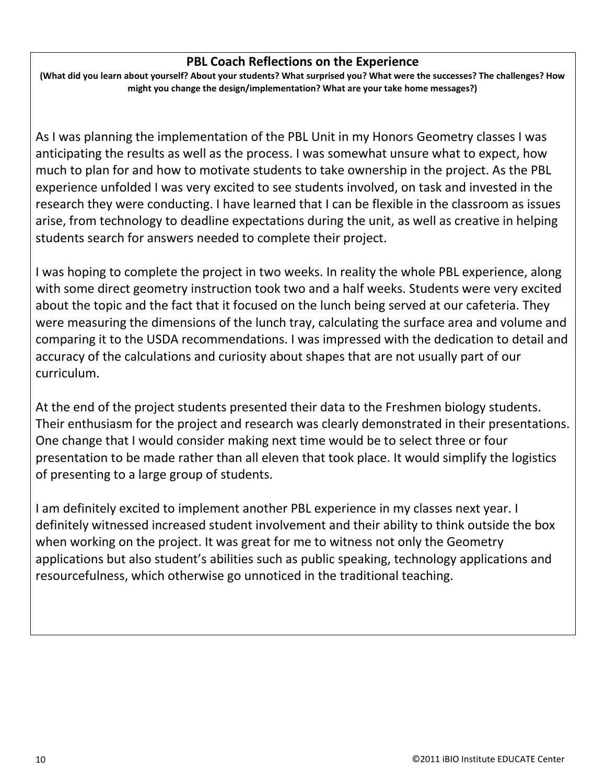### **PBL Coach Reflections on the Experience**

**(What did you learn about yourself? About your students? What surprised you? What were the successes? The challenges? How might you change the design/implementation? What are your take home messages?)**

As I was planning the implementation of the PBL Unit in my Honors Geometry classes I was anticipating the results as well as the process. I was somewhat unsure what to expect, how much to plan for and how to motivate students to take ownership in the project. As the PBL experience unfolded I was very excited to see students involved, on task and invested in the research they were conducting. I have learned that I can be flexible in the classroom as issues arise, from technology to deadline expectations during the unit, as well as creative in helping students search for answers needed to complete their project.

I was hoping to complete the project in two weeks. In reality the whole PBL experience, along with some direct geometry instruction took two and a half weeks. Students were very excited about the topic and the fact that it focused on the lunch being served at our cafeteria. They were measuring the dimensions of the lunch tray, calculating the surface area and volume and comparing it to the USDA recommendations. I was impressed with the dedication to detail and accuracy of the calculations and curiosity about shapes that are not usually part of our curriculum.

At the end of the project students presented their data to the Freshmen biology students. Their enthusiasm for the project and research was clearly demonstrated in their presentations. One change that I would consider making next time would be to select three or four presentation to be made rather than all eleven that took place. It would simplify the logistics of presenting to a large group of students.

I am definitely excited to implement another PBL experience in my classes next year. I definitely witnessed increased student involvement and their ability to think outside the box when working on the project. It was great for me to witness not only the Geometry applications but also student's abilities such as public speaking, technology applications and resourcefulness, which otherwise go unnoticed in the traditional teaching.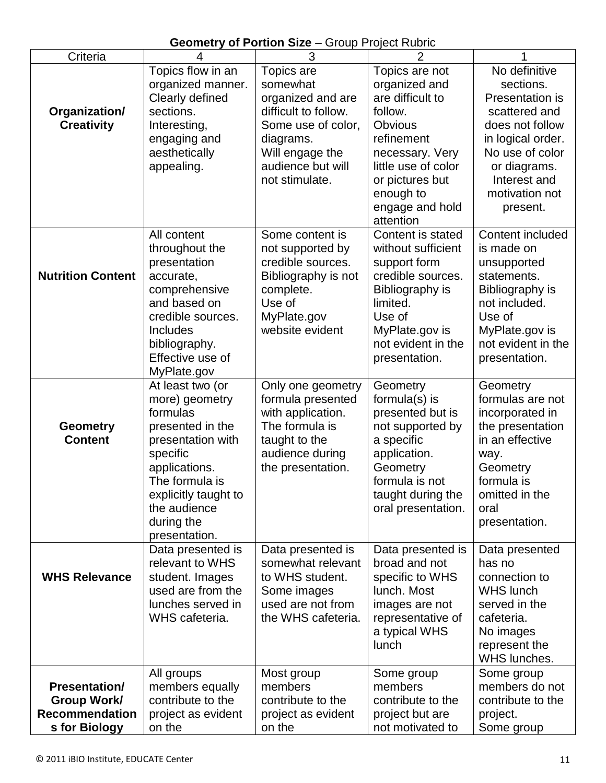# **Geometry of Portion Size** – Group Project Rubric

| Criteria                 | $\overline{4}$                       | 3                    | $\overline{2}$      | 1                        |
|--------------------------|--------------------------------------|----------------------|---------------------|--------------------------|
|                          | Topics flow in an                    | Topics are           | Topics are not      | No definitive            |
|                          | organized manner.                    | somewhat             | organized and       | sections.                |
|                          | Clearly defined                      | organized and are    | are difficult to    | Presentation is          |
| Organization/            | sections.                            | difficult to follow. | follow.             | scattered and            |
| <b>Creativity</b>        | Interesting,                         | Some use of color,   | <b>Obvious</b>      | does not follow          |
|                          | engaging and                         | diagrams.            | refinement          | in logical order.        |
|                          | aesthetically                        |                      | necessary. Very     | No use of color          |
|                          |                                      | Will engage the      |                     |                          |
|                          | appealing.                           | audience but will    | little use of color | or diagrams.             |
|                          |                                      | not stimulate.       | or pictures but     | Interest and             |
|                          |                                      |                      | enough to           | motivation not           |
|                          |                                      |                      | engage and hold     | present.                 |
|                          |                                      |                      | attention           |                          |
|                          | All content                          | Some content is      | Content is stated   | Content included         |
|                          | throughout the                       | not supported by     | without sufficient  | is made on               |
|                          | presentation                         | credible sources.    | support form        | unsupported              |
| <b>Nutrition Content</b> | accurate,                            | Bibliography is not  | credible sources.   | statements.              |
|                          | comprehensive                        | complete.            | Bibliography is     | Bibliography is          |
|                          | and based on                         | Use of               | limited.            | not included.            |
|                          | credible sources.                    | MyPlate.gov          | Use of              | Use of                   |
|                          |                                      |                      |                     |                          |
|                          | <b>Includes</b>                      | website evident      | MyPlate.gov is      | MyPlate.gov is           |
|                          | bibliography.                        |                      | not evident in the  | not evident in the       |
|                          | Effective use of                     |                      | presentation.       | presentation.            |
|                          | MyPlate.gov                          |                      |                     |                          |
|                          | At least two (or                     | Only one geometry    | Geometry            | Geometry                 |
|                          | more) geometry                       | formula presented    | formula $(s)$ is    | formulas are not         |
|                          | formulas                             | with application.    | presented but is    | incorporated in          |
| <b>Geometry</b>          | presented in the                     | The formula is       | not supported by    | the presentation         |
| <b>Content</b>           | presentation with                    | taught to the        | a specific          | in an effective          |
|                          | specific                             | audience during      | application.        | way.                     |
|                          | applications.                        | the presentation.    | Geometry            | Geometry                 |
|                          | The formula is                       |                      | formula is not      | formula is               |
|                          | explicitly taught to                 |                      | taught during the   | omitted in the           |
|                          | the audience                         |                      | oral presentation.  | oral                     |
|                          | during the                           |                      |                     | presentation.            |
|                          | presentation.                        |                      |                     |                          |
|                          |                                      | Data presented is    | Data presented is   |                          |
|                          | Data presented is<br>relevant to WHS | somewhat relevant    | broad and not       | Data presented<br>has no |
|                          |                                      |                      |                     |                          |
| <b>WHS Relevance</b>     | student. Images                      | to WHS student.      | specific to WHS     | connection to            |
|                          | used are from the                    | Some images          | lunch. Most         | WHS lunch                |
|                          | lunches served in                    | used are not from    | images are not      | served in the            |
|                          | WHS cafeteria.                       | the WHS cafeteria.   | representative of   | cafeteria.               |
|                          |                                      |                      | a typical WHS       | No images                |
|                          |                                      |                      | lunch               | represent the            |
|                          |                                      |                      |                     | WHS lunches.             |
|                          | All groups                           | Most group           | Some group          | Some group               |
| <b>Presentation/</b>     | members equally                      | members              | members             | members do not           |
| Group Work/              | contribute to the                    | contribute to the    | contribute to the   | contribute to the        |
| <b>Recommendation</b>    | project as evident                   | project as evident   | project but are     | project.                 |
| s for Biology            | on the                               | on the               | not motivated to    | Some group               |